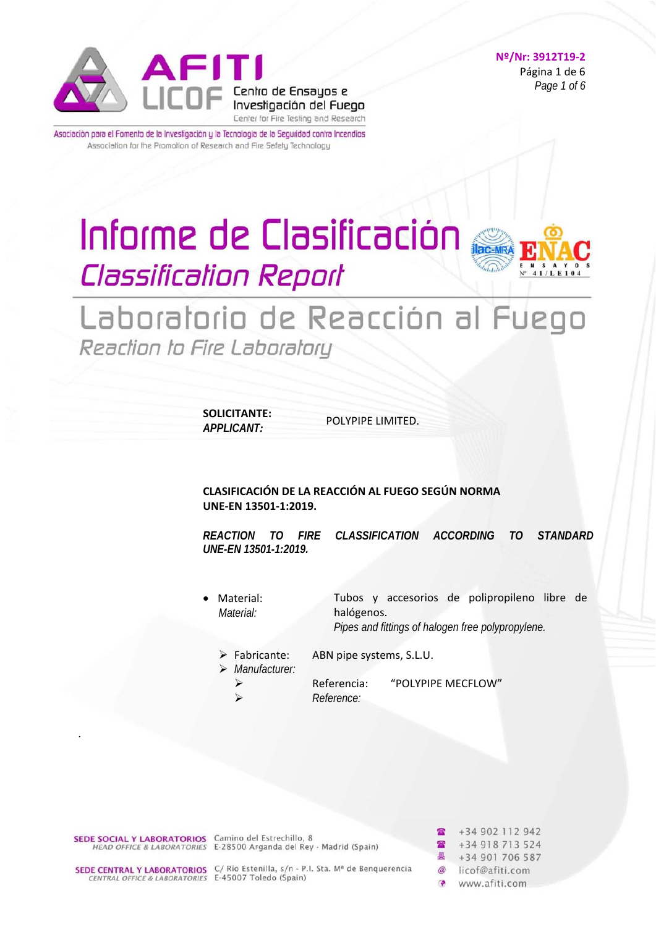

#### **Nº/Nr: 3912T19‐2**  Página 1 de 6 *Page 1 of 6*

Asociación para el Fomento de la Investigación y la Tecnología de la Seguridad contra Incendios Association for the Promotion of Research and Fire Safety Technology

# Informe de Clasificación **Classification Report**



# Laboratorio de Reacción al Fuego Reaction to Fire Laboratory

**SOLICITANTE:**  *APPLICANT:*

POLYPIPE LIMITED.

**CLASIFICACIÓN DE LA REACCIÓN AL FUEGO SEGÚN NORMA UNE‐EN 13501‐1:2019.** 

*REACTION TO FIRE CLASSIFICATION ACCORDING TO STANDARD UNE-EN 13501-1:2019.*

 Material: *Material:*  Tubos y accesorios de polipropileno libre de halógenos.

*Pipes and fittings of halogen free polypropylene.* 

- Fabricante: ABN pipe systems, S.L.U.
- *Manufacturer:*

 Referencia: "POLYPIPE MECFLOW" *Reference:*

**SEDE SOCIAL Y LABORATORIOS** Camino del Estrechillo, 8<br>*HEAD OFFICE & LABORATORIES* E-28500 Arganda del Rey - Madrid (Spain)

.

**SEDE CENTRAL Y LABORATORIOS** C/ Río Estenilla, s/n - P.I. Sta. M<sup>a</sup> de Benquerencia<br>CENTRAL OFFICE & LABORATORIES E-45007 Toledo (Spain)

+34 902 112 942 +34 918 713 524 +34 901 706 587  $\omega$ licof@afiti.com  $\sim$ www.afiti.com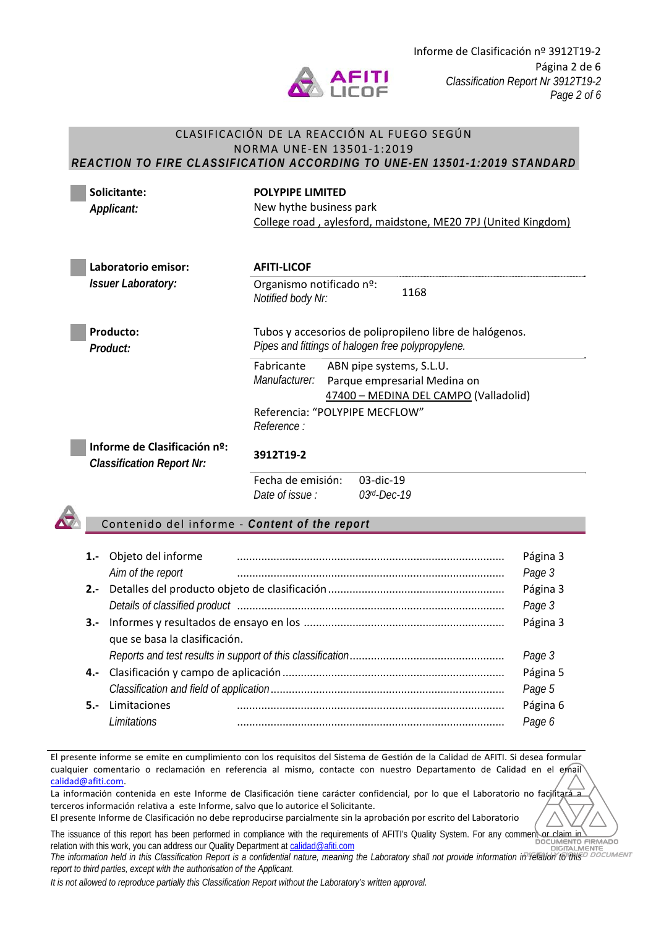

#### CLASIFICACIÓN DE LA REACCIÓN AL FUEGO SEGÚN NORMA UNE‐EN 13501‐1:2019 *REACTION TO FIRE CLASSIFICATION ACCORDING TO UNE-EN 13501-1:2019 STANDARD*

 **Solicitante:**  *Applicant:*

**POLYPIPE LIMITED**  New hythe business park College road , aylesford, maidstone, ME20 7PJ (United Kingdom)

 **Laboratorio emisor:**  *Issuer Laboratory:*

**AFITI‐LICOF** Organismo notificado nº: <sup>1168</sup> *Notified body Nr:* 

 **Producto:**  *Product:* 

Tubos y accesorios de polipropileno libre de halógenos. *Pipes and fittings of halogen free polypropylene.*

Fabricante *Manufacturer:* ABN pipe systems, S.L.U. Parque empresarial Medina on 47400 – MEDINA DEL CAMPO (Valladolid) Referencia: "POLYPIPE MECFLOW"

 **Informe de Clasificación nº:**  *Classification Report Nr:* **3912T19‐2**

*Reference :* 

Fecha de emisión: 03‐dic‐19 *Date of issue : 03rd-Dec-19*

# Contenido del informe ‐ *Content of the report*

| $1 -$  | Objeto del informe            |  | Página 3 |  |  |
|--------|-------------------------------|--|----------|--|--|
|        | Aim of the report             |  | Page 3   |  |  |
| $2 -$  |                               |  | Página 3 |  |  |
|        |                               |  | Page 3   |  |  |
| $3 -$  |                               |  | Página 3 |  |  |
|        | que se basa la clasificación. |  |          |  |  |
|        |                               |  | Page 3   |  |  |
| 4.-    |                               |  | Página 5 |  |  |
|        |                               |  |          |  |  |
| $5. -$ | Limitaciones                  |  | Página 6 |  |  |
|        | <i>I imitations</i>           |  | Page 6   |  |  |

El presente informe se emite en cumplimiento con los requisitos del Sistema de Gestión de la Calidad de AFITI. Si desea formular cualquier comentario o reclamación en referencia al mismo, contacte con nuestro Departamento de Calidad en el email calidad@afiti.com.

La información contenida en este Informe de Clasificación tiene carácter confidencial, por lo que el Laboratorio no facilitará a terceros información relativa a este Informe, salvo que lo autorice el Solicitante.

El presente Informe de Clasificación no debe reproducirse parcialmente sin la aprobación por escrito del Laboratorio

The issuance of this report has been performed in compliance with the requirements of AFITI's Quality System. For any comment or claim in relation with this work, you can address our Quality Department at calidad@afiti.com DOCUMENTO FIRMADO DIGITAL M

**The information held in this Classification Report is a confidential nature, meaning the Laboratory shall not provide information in relation forms<sup>p</sup> pocument** *report to third parties, except with the authorisation of the Applicant.* 

*It is not allowed to reproduce partially this Classification Report without the Laboratory's written approval.*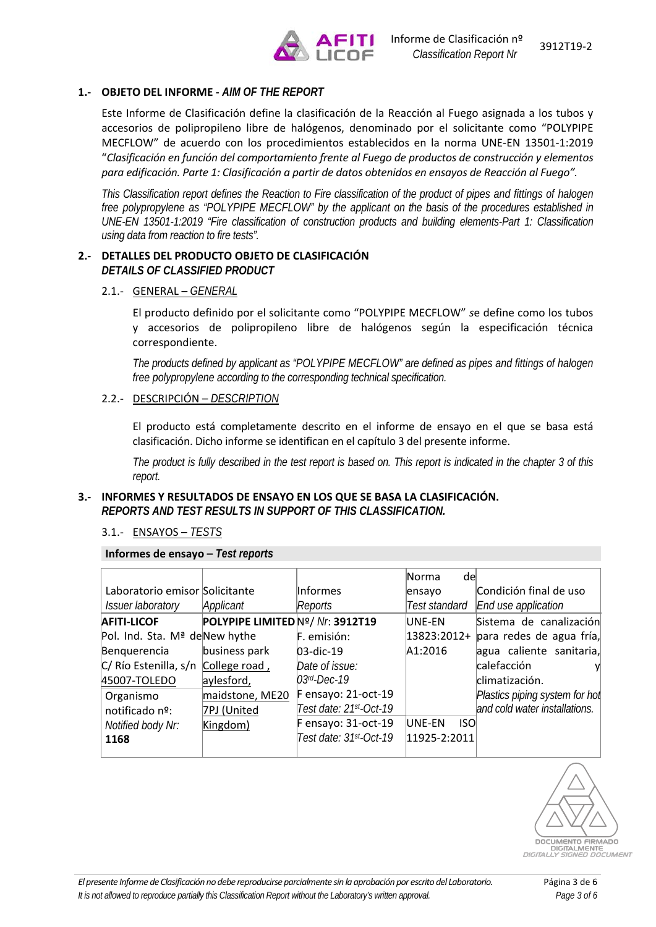

#### **1.‐ OBJETO DEL INFORME ‐** *AIM OF THE REPORT*

Este Informe de Clasificación define la clasificación de la Reacción al Fuego asignada a los tubos y accesorios de polipropileno libre de halógenos, denominado por el solicitante como "POLYPIPE MECFLOW" de acuerdo con los procedimientos establecidos en la norma UNE‐EN 13501‐1:2019 "*Clasificación en función del comportamiento frente al Fuego de productos de construcción y elementos para edificación. Parte 1: Clasificación a partir de datos obtenidos en ensayos de Reacción al Fuego".* 

*This Classification report defines the Reaction to Fire classification of the product of pipes and fittings of halogen free polypropylene as "POLYPIPE MECFLOW" by the applicant on the basis of the procedures established in UNE-EN 13501-1:2019 "Fire classification of construction products and building elements-Part 1: Classification using data from reaction to fire tests".* 

#### **2.‐ DETALLES DEL PRODUCTO OBJETO DE CLASIFICACIÓN**  *DETAILS OF CLASSIFIED PRODUCT*

2.1.‐ GENERAL – *GENERAL*

El producto definido por el solicitante como "POLYPIPE MECFLOW" *s*e define como los tubos y accesorios de polipropileno libre de halógenos según la especificación técnica correspondiente.

*The products defined by applicant as "POLYPIPE MECFLOW" are defined as pipes and fittings of halogen free polypropylene according to the corresponding technical specification.* 

2.2.‐ DESCRIPCIÓN – *DESCRIPTION*

El producto está completamente descrito en el informe de ensayo en el que se basa está clasificación. Dicho informe se identifican en el capítulo 3 del presente informe.

*The product is fully described in the test report is based on. This report is indicated in the chapter 3 of this report.*

#### **3.‐ INFORMES Y RESULTADOS DE ENSAYO EN LOS QUE SE BASA LA CLASIFICACIÓN.**  *REPORTS AND TEST RESULTS IN SUPPORT OF THIS CLASSIFICATION.*

#### 3.1.‐ ENSAYOS – *TESTS*

**Informes de ensayo –** *Test reports*

|                                           |                                  |                        | Norma<br>del   |                                |
|-------------------------------------------|----------------------------------|------------------------|----------------|--------------------------------|
| Laboratorio emisor Solicitante            |                                  | linformes              | ensayo         | Condición final de uso         |
| <i><b>Issuer laboratory</b></i>           | Applicant                        | Reports                | Test standard  | End use application            |
| <b>AFITI-LICOF</b>                        | POLYPIPE LIMITED Nº/ Nr. 3912T19 |                        | UNE-EN         | Sistema de canalización        |
| Pol. Ind. Sta. M <sup>ª</sup> deNew hythe |                                  | F. emisión:            | 13823:2012+    | para redes de agua fría,       |
| Benquerencia                              | business park                    | $03$ -dic-19           | A1:2016        | agua caliente sanitaria,       |
| C/Río Estenilla, s/n College road,        |                                  | Date of issue:         |                | calefacción                    |
| 45007-TOLEDO                              | aylesford,                       | $03rd$ -Dec-19         |                | climatización.                 |
| Organismo                                 | maidstone, ME20                  | $F$ ensayo: 21-oct-19  |                | Plastics piping system for hol |
| notificado nº:                            | 7PJ (United                      | Test date: 21st-Oct-19 |                | and cold water installations.  |
| Notified body Nr:                         | Kingdom)                         | $F$ ensayo: 31-oct-19  | UNE-EN<br>-ISO |                                |
| 1168                                      |                                  | Test date: 31st-Oct-19 | 11925-2:2011   |                                |
|                                           |                                  |                        |                |                                |

DOCUMENTO FIRMADO DIGITALMENTE *DIGITALLY SIGNED DOCUMENT*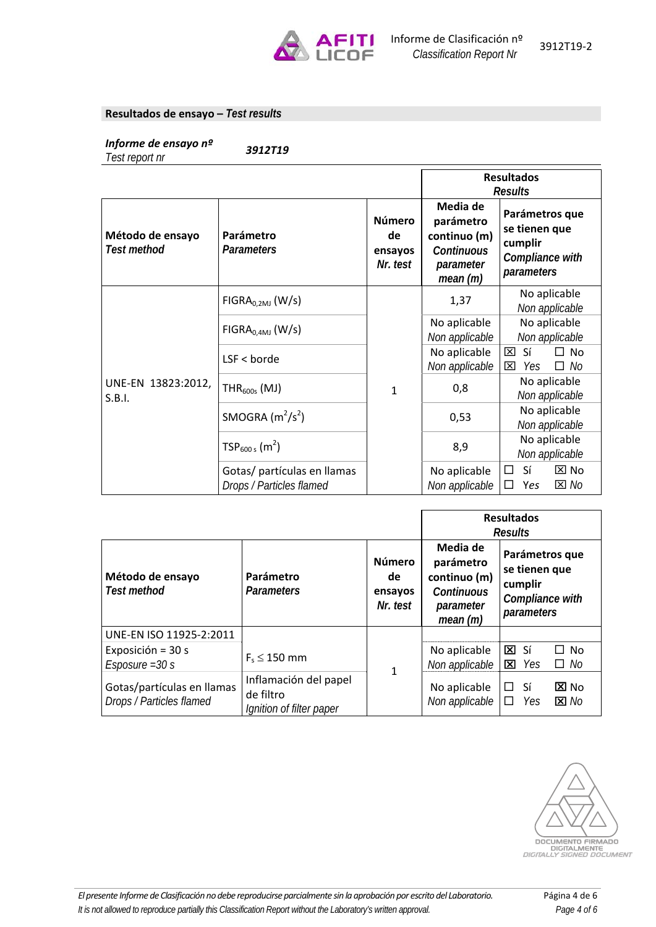

#### **Resultados de ensayo –** *Test results*

*Informe de ensayo nº 3912T19 Test report nr* 

|                                 |                                                         |                                            |                                                                                    | <b>Resultados</b><br><b>Results</b>                                         |
|---------------------------------|---------------------------------------------------------|--------------------------------------------|------------------------------------------------------------------------------------|-----------------------------------------------------------------------------|
| Método de ensayo<br>Test method | Parámetro<br><b>Parameters</b>                          | <b>Número</b><br>de<br>ensayos<br>Nr. test | Media de<br>parámetro<br>continuo (m)<br><b>Continuous</b><br>parameter<br>mean(m) | Parámetros que<br>se tienen que<br>cumplir<br>Compliance with<br>parameters |
|                                 | $FIGRA_{0.2MJ}$ (W/s)                                   | 1                                          | 1,37                                                                               | No aplicable<br>Non applicable                                              |
|                                 | $FIGRA0.4MJ$ (W/s)                                      |                                            | No aplicable<br>Non applicable                                                     | No aplicable<br>Non applicable                                              |
|                                 | $LSF <$ borde                                           |                                            | No aplicable<br>Non applicable                                                     | 図<br>Sí<br>$\Box$ No<br>⊠<br>Yes<br>$\Box$ No                               |
| UNE-EN 13823:2012,<br>S.B.I.    | $THR600s$ (MJ)                                          |                                            | 0,8                                                                                | No aplicable<br>Non applicable                                              |
|                                 | SMOGRA $(m^2/s^2)$                                      |                                            | 0,53                                                                               | No aplicable<br>Non applicable                                              |
|                                 | $TSP_{600 s}$ (m <sup>2</sup> )                         |                                            | 8,9                                                                                | No aplicable<br>Non applicable                                              |
|                                 | Gotas/ partículas en llamas<br>Drops / Particles flamed |                                            | No aplicable<br>Non applicable                                                     | Sí<br>$\boxtimes$ No<br>$\Box$<br>$\boxtimes$ No<br>□<br>Yes                |

|                                                        |                                                                |                                            | <b>Resultados</b><br><b>Results</b>                                          |                                                                             |
|--------------------------------------------------------|----------------------------------------------------------------|--------------------------------------------|------------------------------------------------------------------------------|-----------------------------------------------------------------------------|
| Método de ensayo<br><b>Test method</b>                 | Parámetro<br><b>Parameters</b>                                 | <b>Número</b><br>de<br>ensayos<br>Nr. test | Media de<br>parámetro<br>continuo (m)<br>Continuous<br>parameter<br>mean (m) | Parámetros que<br>se tienen que<br>cumplir<br>Compliance with<br>parameters |
| UNE-EN ISO 11925-2:2011                                |                                                                |                                            |                                                                              |                                                                             |
| Exposición = 30 s<br>$Esposure = 30 s$                 | $F_s \leq 150$ mm                                              |                                            | No aplicable<br>Non applicable                                               | $\Sigma$ Sí<br>□ No<br>⊠<br>$\Box$ No<br>Yes                                |
| Gotas/partículas en llamas<br>Drops / Particles flamed | Inflamación del papel<br>de filtro<br>Ignition of filter paper | 1                                          | No aplicable<br>Non applicable                                               | Sí<br>区 No<br>□<br>Yes<br>$\boxtimes$ No                                    |

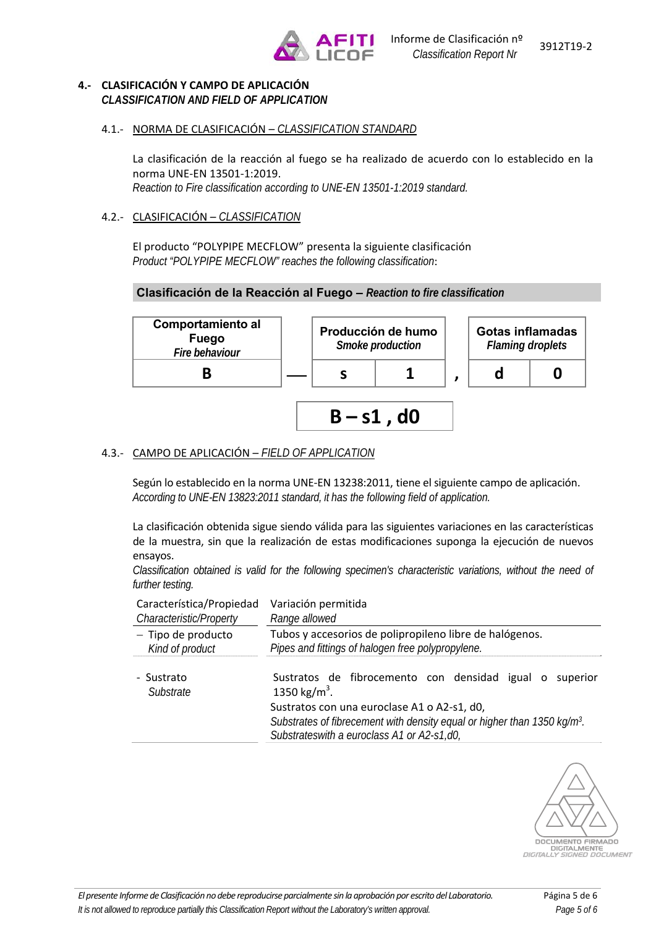

#### **4.‐ CLASIFICACIÓN Y CAMPO DE APLICACIÓN**  *CLASSIFICATION AND FIELD OF APPLICATION*

# 4.1.‐ NORMA DE CLASIFICACIÓN – *CLASSIFICATION STANDARD*

La clasificación de la reacción al fuego se ha realizado de acuerdo con lo establecido en la norma UNE‐EN 13501‐1:2019.

*Reaction to Fire classification according to UNE-EN 13501-1:2019 standard.* 

## 4.2.‐ CLASIFICACIÓN – *CLASSIFICATION*

El producto "POLYPIPE MECFLOW" presenta la siguiente clasificación *Product "POLYPIPE MECFLOW" reaches the following classification*:

# **Clasificación de la Reacción al Fuego –** *Reaction to fire classification*



# 4.3.‐ CAMPO DE APLICACIÓN – *FIELD OF APPLICATION*

Según lo establecido en la norma UNE‐EN 13238:2011, tiene el siguiente campo de aplicación. *According to UNE-EN 13823:2011 standard, it has the following field of application.* 

La clasificación obtenida sigue siendo válida para las siguientes variaciones en las características de la muestra, sin que la realización de estas modificaciones suponga la ejecución de nuevos ensayos.

*Classification obtained is valid for the following specimen's characteristic variations, without the need of further testing.* 

| Característica/Propiedad | Variación permitida                                                                                                                                                               |
|--------------------------|-----------------------------------------------------------------------------------------------------------------------------------------------------------------------------------|
| Characteristic/Property  | Range allowed                                                                                                                                                                     |
| - Tipo de producto       | Tubos y accesorios de polipropileno libre de halógenos.                                                                                                                           |
| Kind of product          | Pipes and fittings of halogen free polypropylene.                                                                                                                                 |
| - Sustrato<br>Substrate  | Sustratos de fibrocemento con densidad igual o<br>superior<br>1350 kg/m <sup>3</sup> .                                                                                            |
|                          | Sustratos con una euroclase A1 o A2-s1, d0,<br>Substrates of fibrecement with density equal or higher than 1350 kg/m <sup>3</sup> .<br>Substrateswith a euroclass A1 or A2-s1,d0, |

DOCUMENTO FIRMADO<br>DIGITALMENTE<br>JITALLY SIGNED DOCUMENT DIGITALMENTE *DIGITALLY SIGNED DOCUMENT*